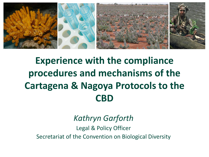

# **Experience with the compliance procedures and mechanisms of the Cartagena & Nagoya Protocols to the CBD**

## *Kathryn Garforth*

Legal & Policy Officer Secretariat of the Convention on Biological Diversity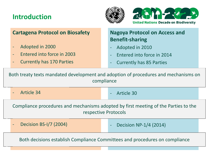### **Introduction**





|                                                                                                             | <b>Cartagena Protocol on Biosafety</b>                                      |  | <b>Nagoya Protocol on Access and</b><br><b>Benefit-sharing</b> |  |  |
|-------------------------------------------------------------------------------------------------------------|-----------------------------------------------------------------------------|--|----------------------------------------------------------------|--|--|
|                                                                                                             | Adopted in 2000<br>÷                                                        |  | Adopted in 2010<br>÷                                           |  |  |
|                                                                                                             | Entered into force in 2003                                                  |  | Entered into force in 2014<br>$\equiv$                         |  |  |
|                                                                                                             | <b>Currently has 170 Parties</b>                                            |  | <b>Currently has 85 Parties</b><br>÷                           |  |  |
| Both treaty texts mandated development and adoption of procedures and mechanisms on<br>compliance           |                                                                             |  |                                                                |  |  |
|                                                                                                             | <b>Article 34</b>                                                           |  | <b>Article 30</b><br>$\equiv$                                  |  |  |
| Compliance procedures and mechanisms adopted by first meeting of the Parties to the<br>respective Protocols |                                                                             |  |                                                                |  |  |
|                                                                                                             | Decision BS-I/7 (2004)                                                      |  | Decision NP-1/4 (2014)<br>$\overline{\phantom{a}}$             |  |  |
|                                                                                                             | Both decisions establish Compliance Committees and procedures on compliance |  |                                                                |  |  |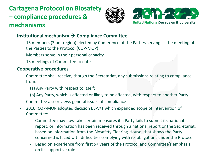## **Cartagena Protocol on Biosafety – compliance procedures & mechanisms**





- **-** Institutional mechanism  $\rightarrow$  Compliance Committee
	- 15 members (3 per region) elected by Conference of the Parties serving as the meeting of the Parties to the Protocol (COP-MOP)
	- Members serve in their personal capacity
	- 13 meetings of Committee to date

#### - **Cooperative procedures**

- Committee shall receive, though the Secretariat, any submissions relating to compliance from:
	- (a) Any Party with respect to itself;
	- (b) Any Party, which is affected or likely to be affected, with respect to another Party.
- Committee also reviews general issues of compliance
- 2010: COP-MOP adopted decision BS-V/1 which expanded scope of intervention of Committee:
	- Committee may now take certain measures if a Party fails to submit its national report, or information has been received through a national report or the Secretariat, based on information from the Biosafety Clearing-House, that shows the Party concerned is faced with difficulties complying with its obligations under the Protocol
	- Based on experience from first 5+ years of the Protocol and Committee's emphasis on its supportive role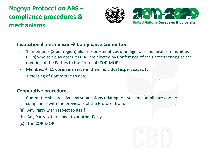### **Nagoya Protocol on ABS – compliance procedures & mechanisms**





#### **Institutional mechanism → Compliance Committee**

- 15 members (3 per region) plus 2 representatives of indigenous and local communities (ILCs) who serve as observers. All are elected by Conference of the Parties serving as the meeting of the Parties to the Protocol (COP-MOP)
- Members + ILC observers serve in their individual expert capacity
- 1 meeting of Committee to date

#### - **Cooperative procedures**

- Committee shall receive any submissions relating to issues of compliance and noncompliance with the provisions of the Protocol from:
- (a) Any Party with respect to itself;
- (b) Any Party with respect to another Party
- (c) The COP-MOP.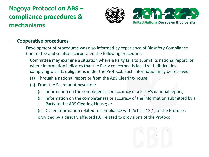### **Nagoya Protocol on ABS – compliance procedures & mechanisms**





#### - **Cooperative procedures**

- Development of procedures was also informed by experience of Biosafety Compliance Committee and so also incorporated the following procedure:

Committee may examine a situation where a Party fails to submit its national report, or where information indicates that the Party concerned is faced with difficulties complying with its obligations under the Protocol. Such information may be received:

- (a) Through a national report or from the ABS Clearing-House;
- (b) From the Secretariat based on:
	- (i) Information on the completeness or accuracy of a Party's national report;
	- (ii) Information on the completeness or accuracy of the information submitted by a Party to the ABS Clearing-House; or

(iii) Other information related to compliance with Article 12(1) of the Protocol; provided by a directly affected ILC, related to provisions of the Protocol.

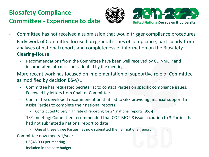### **Biosafety Compliance Committee - Experience to date**





- Committee has not received a submission that would trigger compliance procedures
- Early work of Committee focused on general issues of compliance, particularly from analyses of national reports and completeness of information on the Biosafety Clearing-House
	- Recommendations from the Committee have been well received by COP-MOP and incorporated into decisions adopted by the meeting.
- More recent work has focused on implementation of supportive role of Committee as modified by decision BS-V/1
	- Committee has requested Secretariat to contact Parties on specific compliance issues. Followed by letters from Chair of Committee
	- Committee developed recommendation that led to GEF providing financial support to assist Parties to complete their national reports.
		- Contributed to very high rate of reporting for  $2<sup>nd</sup>$  national reports (95%)
	- 13<sup>th</sup> meeting: Committee recommended that COP-MOP 8 issue a caution to 3 Parties that had not submitted a national report to date
		- One of these three Parties has now submitted their 3rd national report
- Committee now meets 1/year
	- US\$45,000 per meeting
	- Included in the core budget